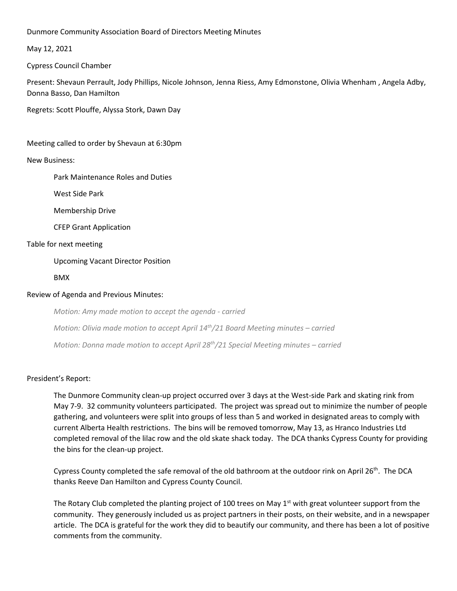Dunmore Community Association Board of Directors Meeting Minutes

May 12, 2021

Cypress Council Chamber

Present: Shevaun Perrault, Jody Phillips, Nicole Johnson, Jenna Riess, Amy Edmonstone, Olivia Whenham , Angela Adby, Donna Basso, Dan Hamilton

Regrets: Scott Plouffe, Alyssa Stork, Dawn Day

Meeting called to order by Shevaun at 6:30pm

New Business:

Park Maintenance Roles and Duties

West Side Park

Membership Drive

CFEP Grant Application

### Table for next meeting

Upcoming Vacant Director Position

BMX

## Review of Agenda and Previous Minutes:

*Motion: Amy made motion to accept the agenda - carried Motion: Olivia made motion to accept April 14<sup>th</sup>/21 Board Meeting minutes – carried Motion: Donna made motion to accept April 28th/21 Special Meeting minutes – carried*

#### President's Report:

The Dunmore Community clean-up project occurred over 3 days at the West-side Park and skating rink from May 7-9. 32 community volunteers participated. The project was spread out to minimize the number of people gathering, and volunteers were split into groups of less than 5 and worked in designated areas to comply with current Alberta Health restrictions. The bins will be removed tomorrow, May 13, as Hranco Industries Ltd completed removal of the lilac row and the old skate shack today. The DCA thanks Cypress County for providing the bins for the clean-up project.

Cypress County completed the safe removal of the old bathroom at the outdoor rink on April  $26<sup>th</sup>$ . The DCA thanks Reeve Dan Hamilton and Cypress County Council.

The Rotary Club completed the planting project of 100 trees on May  $1<sup>st</sup>$  with great volunteer support from the community. They generously included us as project partners in their posts, on their website, and in a newspaper article. The DCA is grateful for the work they did to beautify our community, and there has been a lot of positive comments from the community.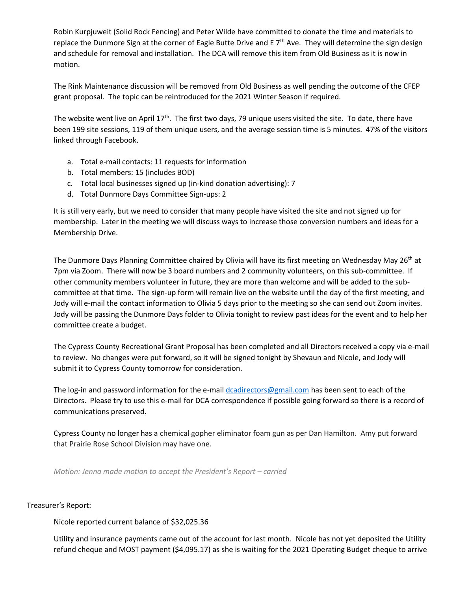Robin Kurpjuweit (Solid Rock Fencing) and Peter Wilde have committed to donate the time and materials to replace the Dunmore Sign at the corner of Eagle Butte Drive and E 7<sup>th</sup> Ave. They will determine the sign design and schedule for removal and installation. The DCA will remove this item from Old Business as it is now in motion.

The Rink Maintenance discussion will be removed from Old Business as well pending the outcome of the CFEP grant proposal. The topic can be reintroduced for the 2021 Winter Season if required.

The website went live on April 17<sup>th</sup>. The first two days, 79 unique users visited the site. To date, there have been 199 site sessions, 119 of them unique users, and the average session time is 5 minutes. 47% of the visitors linked through Facebook.

- a. Total e-mail contacts: 11 requests for information
- b. Total members: 15 (includes BOD)
- c. Total local businesses signed up (in-kind donation advertising): 7
- d. Total Dunmore Days Committee Sign-ups: 2

It is still very early, but we need to consider that many people have visited the site and not signed up for membership. Later in the meeting we will discuss ways to increase those conversion numbers and ideas for a Membership Drive.

The Dunmore Days Planning Committee chaired by Olivia will have its first meeting on Wednesday May 26<sup>th</sup> at 7pm via Zoom. There will now be 3 board numbers and 2 community volunteers, on this sub-committee. If other community members volunteer in future, they are more than welcome and will be added to the subcommittee at that time. The sign-up form will remain live on the website until the day of the first meeting, and Jody will e-mail the contact information to Olivia 5 days prior to the meeting so she can send out Zoom invites. Jody will be passing the Dunmore Days folder to Olivia tonight to review past ideas for the event and to help her committee create a budget.

The Cypress County Recreational Grant Proposal has been completed and all Directors received a copy via e-mail to review. No changes were put forward, so it will be signed tonight by Shevaun and Nicole, and Jody will submit it to Cypress County tomorrow for consideration.

The log-in and password information for the e-mai[l dcadirectors@gmail.com](mailto:dcadirectors@gmail.com) has been sent to each of the Directors. Please try to use this e-mail for DCA correspondence if possible going forward so there is a record of communications preserved.

Cypress County no longer has a chemical gopher eliminator foam gun as per Dan Hamilton. Amy put forward that Prairie Rose School Division may have one.

*Motion: Jenna made motion to accept the President's Report – carried*

Treasurer's Report:

Nicole reported current balance of \$32,025.36

Utility and insurance payments came out of the account for last month. Nicole has not yet deposited the Utility refund cheque and MOST payment (\$4,095.17) as she is waiting for the 2021 Operating Budget cheque to arrive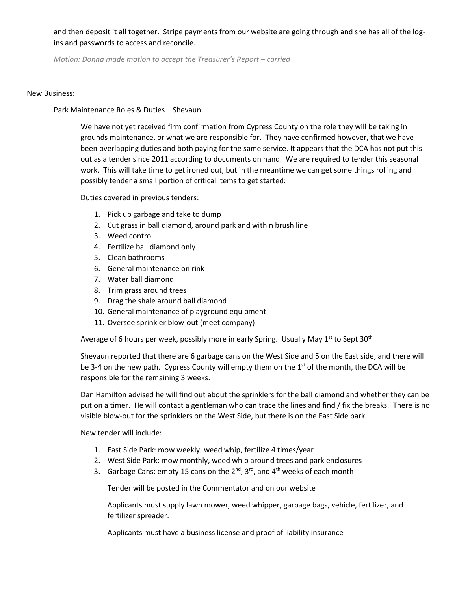and then deposit it all together. Stripe payments from our website are going through and she has all of the logins and passwords to access and reconcile.

*Motion: Donna made motion to accept the Treasurer's Report – carried*

### New Business:

# Park Maintenance Roles & Duties – Shevaun

We have not yet received firm confirmation from Cypress County on the role they will be taking in grounds maintenance, or what we are responsible for. They have confirmed however, that we have been overlapping duties and both paying for the same service. It appears that the DCA has not put this out as a tender since 2011 according to documents on hand. We are required to tender this seasonal work. This will take time to get ironed out, but in the meantime we can get some things rolling and possibly tender a small portion of critical items to get started:

Duties covered in previous tenders:

- 1. Pick up garbage and take to dump
- 2. Cut grass in ball diamond, around park and within brush line
- 3. Weed control
- 4. Fertilize ball diamond only
- 5. Clean bathrooms
- 6. General maintenance on rink
- 7. Water ball diamond
- 8. Trim grass around trees
- 9. Drag the shale around ball diamond
- 10. General maintenance of playground equipment
- 11. Oversee sprinkler blow-out (meet company)

Average of 6 hours per week, possibly more in early Spring. Usually May  $1<sup>st</sup>$  to Sept 30<sup>th</sup>

Shevaun reported that there are 6 garbage cans on the West Side and 5 on the East side, and there will be 3-4 on the new path. Cypress County will empty them on the  $1<sup>st</sup>$  of the month, the DCA will be responsible for the remaining 3 weeks.

Dan Hamilton advised he will find out about the sprinklers for the ball diamond and whether they can be put on a timer. He will contact a gentleman who can trace the lines and find / fix the breaks. There is no visible blow-out for the sprinklers on the West Side, but there is on the East Side park.

New tender will include:

- 1. East Side Park: mow weekly, weed whip, fertilize 4 times/year
- 2. West Side Park: mow monthly, weed whip around trees and park enclosures
- 3. Garbage Cans: empty 15 cans on the  $2^{nd}$ ,  $3^{rd}$ , and  $4^{th}$  weeks of each month

Tender will be posted in the Commentator and on our website

Applicants must supply lawn mower, weed whipper, garbage bags, vehicle, fertilizer, and fertilizer spreader.

Applicants must have a business license and proof of liability insurance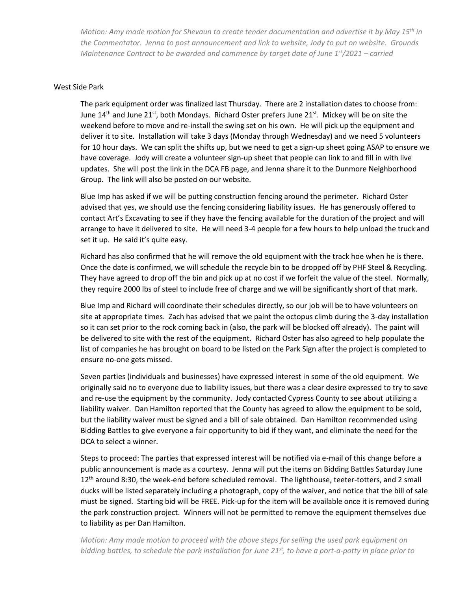*Motion: Amy made motion for Shevaun to create tender documentation and advertise it by May 15th in the Commentator. Jenna to post announcement and link to website, Jody to put on website. Grounds Maintenance Contract to be awarded and commence by target date of June 1st/2021 – carried*

### West Side Park

The park equipment order was finalized last Thursday. There are 2 installation dates to choose from: June 14<sup>th</sup> and June 21<sup>st</sup>, both Mondays. Richard Oster prefers June 21<sup>st</sup>. Mickey will be on site the weekend before to move and re-install the swing set on his own. He will pick up the equipment and deliver it to site. Installation will take 3 days (Monday through Wednesday) and we need 5 volunteers for 10 hour days. We can split the shifts up, but we need to get a sign-up sheet going ASAP to ensure we have coverage. Jody will create a volunteer sign-up sheet that people can link to and fill in with live updates. She will post the link in the DCA FB page, and Jenna share it to the Dunmore Neighborhood Group. The link will also be posted on our website.

Blue Imp has asked if we will be putting construction fencing around the perimeter. Richard Oster advised that yes, we should use the fencing considering liability issues. He has generously offered to contact Art's Excavating to see if they have the fencing available for the duration of the project and will arrange to have it delivered to site. He will need 3-4 people for a few hours to help unload the truck and set it up. He said it's quite easy.

Richard has also confirmed that he will remove the old equipment with the track hoe when he is there. Once the date is confirmed, we will schedule the recycle bin to be dropped off by PHF Steel & Recycling. They have agreed to drop off the bin and pick up at no cost if we forfeit the value of the steel. Normally, they require 2000 lbs of steel to include free of charge and we will be significantly short of that mark.

Blue Imp and Richard will coordinate their schedules directly, so our job will be to have volunteers on site at appropriate times. Zach has advised that we paint the octopus climb during the 3-day installation so it can set prior to the rock coming back in (also, the park will be blocked off already). The paint will be delivered to site with the rest of the equipment. Richard Oster has also agreed to help populate the list of companies he has brought on board to be listed on the Park Sign after the project is completed to ensure no-one gets missed.

Seven parties (individuals and businesses) have expressed interest in some of the old equipment. We originally said no to everyone due to liability issues, but there was a clear desire expressed to try to save and re-use the equipment by the community. Jody contacted Cypress County to see about utilizing a liability waiver. Dan Hamilton reported that the County has agreed to allow the equipment to be sold, but the liability waiver must be signed and a bill of sale obtained. Dan Hamilton recommended using Bidding Battles to give everyone a fair opportunity to bid if they want, and eliminate the need for the DCA to select a winner.

Steps to proceed: The parties that expressed interest will be notified via e-mail of this change before a public announcement is made as a courtesy. Jenna will put the items on Bidding Battles Saturday June 12<sup>th</sup> around 8:30, the week-end before scheduled removal. The lighthouse, teeter-totters, and 2 small ducks will be listed separately including a photograph, copy of the waiver, and notice that the bill of sale must be signed. Starting bid will be FREE. Pick-up for the item will be available once it is removed during the park construction project. Winners will not be permitted to remove the equipment themselves due to liability as per Dan Hamilton.

*Motion: Amy made motion to proceed with the above steps for selling the used park equipment on bidding battles, to schedule the park installation for June 21st , to have a port-a-potty in place prior to*